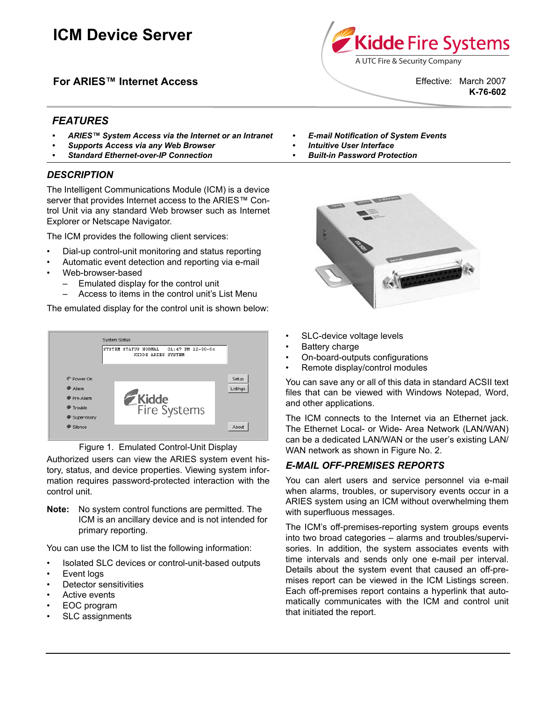# **ICM Device Server**

**For ARIES™ Internet Access**

A UTC Fire & Security Company Effective: March 2007

Kidde Fire Systems

**K-76-602**

# *FEATURES*

- *ARIES™ System Access via the Internet or an Intranet*
- *Supports Access via any Web Browser*
- *Standard Ethernet-over-IP Connection*

## *DESCRIPTION*

The Intelligent Communications Module (ICM) is a device server that provides Internet access to the ARIES™ Control Unit via any standard Web browser such as Internet Explorer or Netscape Navigator.

The ICM provides the following client services:

- Dial-up control-unit monitoring and status reporting
- Automatic event detection and reporting via e-mail
- Web-browser-based
	- Emulated display for the control unit
	- Access to items in the control unit's List Menu

The emulated display for the control unit is shown below:





Authorized users can view the ARIES system event history, status, and device properties. Viewing system information requires password-protected interaction with the control unit.

**Note:** No system control functions are permitted. The ICM is an ancillary device and is not intended for primary reporting.

You can use the ICM to list the following information:

- Isolated SLC devices or control-unit-based outputs
- Event logs
- Detector sensitivities
- Active events
- EOC program
- SLC assignments
- *E-mail Notification of System Events*
- *Intuitive User Interface*
- *Built-in Password Protection*



- SLC-device voltage levels
- Battery charge
- On-board-outputs configurations
- Remote display/control modules

You can save any or all of this data in standard ACSII text files that can be viewed with Windows Notepad, Word, and other applications.

The ICM connects to the Internet via an Ethernet jack. The Ethernet Local- or Wide- Area Network (LAN/WAN) can be a dedicated LAN/WAN or the user's existing LAN/ WAN network as shown in Figure No. 2.

## *E-MAIL OFF-PREMISES REPORTS*

You can alert users and service personnel via e-mail when alarms, troubles, or supervisory events occur in a ARIES system using an ICM without overwhelming them with superfluous messages.

The ICM's off-premises-reporting system groups events into two broad categories – alarms and troubles/supervisories. In addition, the system associates events with time intervals and sends only one e-mail per interval. Details about the system event that caused an off-premises report can be viewed in the ICM Listings screen. Each off-premises report contains a hyperlink that automatically communicates with the ICM and control unit that initiated the report.